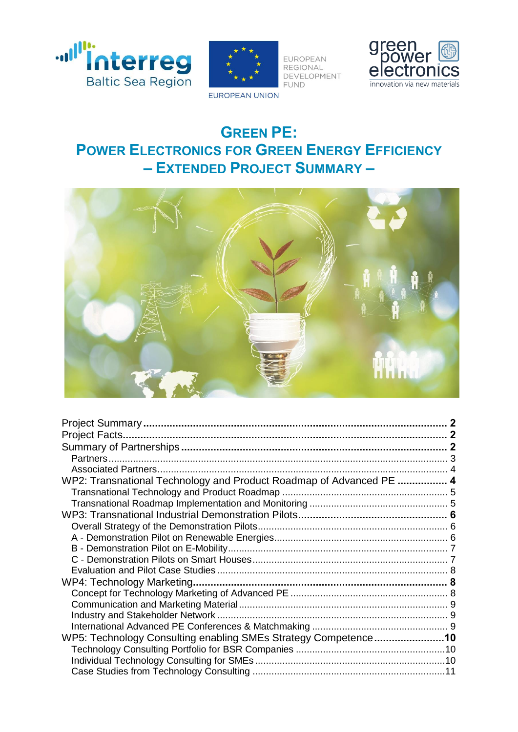



EUROPEAN REGIONAL DEVELOPMENT **FUND** 



**EUROPEAN UNION** 

# **GREEN PE: POWER ELECTRONICS FOR GREEN ENERGY EFFICIENCY – EXTENDED PROJECT SUMMARY –**



| WP2: Transnational Technology and Product Roadmap of Advanced PE  4 |  |
|---------------------------------------------------------------------|--|
|                                                                     |  |
|                                                                     |  |
|                                                                     |  |
|                                                                     |  |
|                                                                     |  |
|                                                                     |  |
|                                                                     |  |
|                                                                     |  |
|                                                                     |  |
|                                                                     |  |
|                                                                     |  |
|                                                                     |  |
|                                                                     |  |
| WP5: Technology Consulting enabling SMEs Strategy Competence10      |  |
|                                                                     |  |
|                                                                     |  |
|                                                                     |  |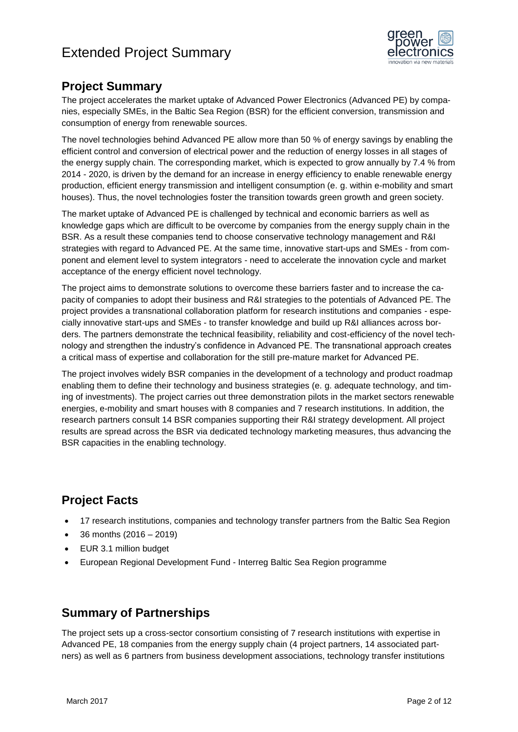

### <span id="page-1-0"></span>**Project Summary**

The project accelerates the market uptake of Advanced Power Electronics (Advanced PE) by companies, especially SMEs, in the Baltic Sea Region (BSR) for the efficient conversion, transmission and consumption of energy from renewable sources.

The novel technologies behind Advanced PE allow more than 50 % of energy savings by enabling the efficient control and conversion of electrical power and the reduction of energy losses in all stages of the energy supply chain. The corresponding market, which is expected to grow annually by 7.4 % from 2014 - 2020, is driven by the demand for an increase in energy efficiency to enable renewable energy production, efficient energy transmission and intelligent consumption (e. g. within e-mobility and smart houses). Thus, the novel technologies foster the transition towards green growth and green society.

The market uptake of Advanced PE is challenged by technical and economic barriers as well as knowledge gaps which are difficult to be overcome by companies from the energy supply chain in the BSR. As a result these companies tend to choose conservative technology management and R&I strategies with regard to Advanced PE. At the same time, innovative start-ups and SMEs - from component and element level to system integrators - need to accelerate the innovation cycle and market acceptance of the energy efficient novel technology.

The project aims to demonstrate solutions to overcome these barriers faster and to increase the capacity of companies to adopt their business and R&I strategies to the potentials of Advanced PE. The project provides a transnational collaboration platform for research institutions and companies - especially innovative start-ups and SMEs - to transfer knowledge and build up R&I alliances across borders. The partners demonstrate the technical feasibility, reliability and cost-efficiency of the novel technology and strengthen the industry's confidence in Advanced PE. The transnational approach creates a critical mass of expertise and collaboration for the still pre-mature market for Advanced PE.

The project involves widely BSR companies in the development of a technology and product roadmap enabling them to define their technology and business strategies (e. g. adequate technology, and timing of investments). The project carries out three demonstration pilots in the market sectors renewable energies, e-mobility and smart houses with 8 companies and 7 research institutions. In addition, the research partners consult 14 BSR companies supporting their R&I strategy development. All project results are spread across the BSR via dedicated technology marketing measures, thus advancing the BSR capacities in the enabling technology.

## <span id="page-1-1"></span>**Project Facts**

- 17 research institutions, companies and technology transfer partners from the Baltic Sea Region
- 36 months (2016 2019)
- EUR 3.1 million budget
- European Regional Development Fund Interreg Baltic Sea Region programme

## <span id="page-1-2"></span>**Summary of Partnerships**

The project sets up a cross-sector consortium consisting of 7 research institutions with expertise in Advanced PE, 18 companies from the energy supply chain (4 project partners, 14 associated partners) as well as 6 partners from business development associations, technology transfer institutions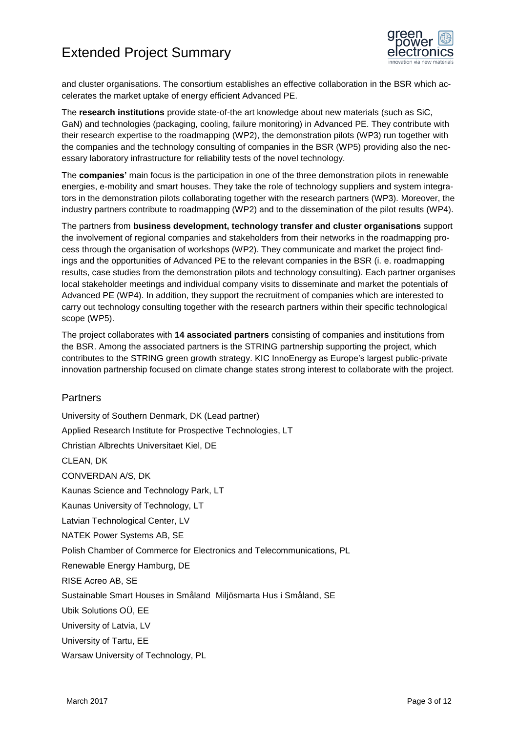

and cluster organisations. The consortium establishes an effective collaboration in the BSR which accelerates the market uptake of energy efficient Advanced PE.

The **research institutions** provide state-of-the art knowledge about new materials (such as SiC, GaN) and technologies (packaging, cooling, failure monitoring) in Advanced PE. They contribute with their research expertise to the roadmapping (WP2), the demonstration pilots (WP3) run together with the companies and the technology consulting of companies in the BSR (WP5) providing also the necessary laboratory infrastructure for reliability tests of the novel technology.

The **companies'** main focus is the participation in one of the three demonstration pilots in renewable energies, e-mobility and smart houses. They take the role of technology suppliers and system integrators in the demonstration pilots collaborating together with the research partners (WP3). Moreover, the industry partners contribute to roadmapping (WP2) and to the dissemination of the pilot results (WP4).

The partners from **business development, technology transfer and cluster organisations** support the involvement of regional companies and stakeholders from their networks in the roadmapping process through the organisation of workshops (WP2). They communicate and market the project findings and the opportunities of Advanced PE to the relevant companies in the BSR (i. e. roadmapping results, case studies from the demonstration pilots and technology consulting). Each partner organises local stakeholder meetings and individual company visits to disseminate and market the potentials of Advanced PE (WP4). In addition, they support the recruitment of companies which are interested to carry out technology consulting together with the research partners within their specific technological scope (WP5).

The project collaborates with **14 associated partners** consisting of companies and institutions from the BSR. Among the associated partners is the STRING partnership supporting the project, which contributes to the STRING green growth strategy. KIC InnoEnergy as Europe's largest public-private innovation partnership focused on climate change states strong interest to collaborate with the project.

#### <span id="page-2-0"></span>**Partners**

University of Southern Denmark, DK (Lead partner) Applied Research Institute for Prospective Technologies, LT Christian Albrechts Universitaet Kiel, DE CLEAN, DK CONVERDAN A/S, DK Kaunas Science and Technology Park, LT Kaunas University of Technology, LT Latvian Technological Center, LV NATEK Power Systems AB, SE Polish Chamber of Commerce for Electronics and Telecommunications, PL Renewable Energy Hamburg, DE RISE Acreo AB, SE Sustainable Smart Houses in Småland Miljösmarta Hus i Småland, SE Ubik Solutions OÜ, EE University of Latvia, LV University of Tartu, EE

Warsaw University of Technology, PL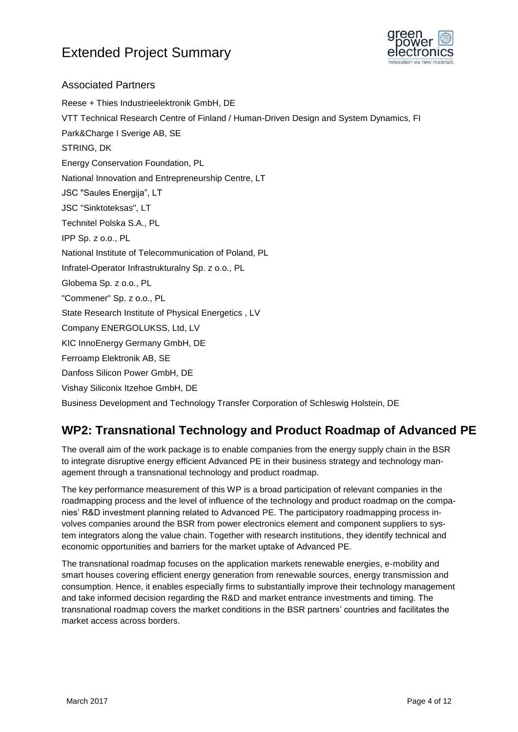

#### <span id="page-3-0"></span>Associated Partners

Reese + Thies Industrieelektronik GmbH, DE VTT Technical Research Centre of Finland / Human-Driven Design and System Dynamics, FI Park&Charge I Sverige AB, SE STRING, DK Energy Conservation Foundation, PL National Innovation and Entrepreneurship Centre, LT JSC "Saules Energija", LT JSC "Sinktoteksas", LT Technitel Polska S.A., PL IPP Sp. z o.o., PL National Institute of Telecommunication of Poland, PL Infratel-Operator Infrastrukturalny Sp. z o.o., PL Globema Sp. z o.o., PL "Commener" Sp. z o.o., PL State Research Institute of Physical Energetics , LV Company ENERGOLUKSS, Ltd, LV KIC InnoEnergy Germany GmbH, DE Ferroamp Elektronik AB, SE Danfoss Silicon Power GmbH, DE Vishay Siliconix Itzehoe GmbH, DE Business Development and Technology Transfer Corporation of Schleswig Holstein, DE

## <span id="page-3-1"></span>**WP2: Transnational Technology and Product Roadmap of Advanced PE**

The overall aim of the work package is to enable companies from the energy supply chain in the BSR to integrate disruptive energy efficient Advanced PE in their business strategy and technology management through a transnational technology and product roadmap.

The key performance measurement of this WP is a broad participation of relevant companies in the roadmapping process and the level of influence of the technology and product roadmap on the companies' R&D investment planning related to Advanced PE. The participatory roadmapping process involves companies around the BSR from power electronics element and component suppliers to system integrators along the value chain. Together with research institutions, they identify technical and economic opportunities and barriers for the market uptake of Advanced PE.

<span id="page-3-2"></span>The transnational roadmap focuses on the application markets renewable energies, e-mobility and smart houses covering efficient energy generation from renewable sources, energy transmission and consumption. Hence, it enables especially firms to substantially improve their technology management and take informed decision regarding the R&D and market entrance investments and timing. The transnational roadmap covers the market conditions in the BSR partners' countries and facilitates the market access across borders.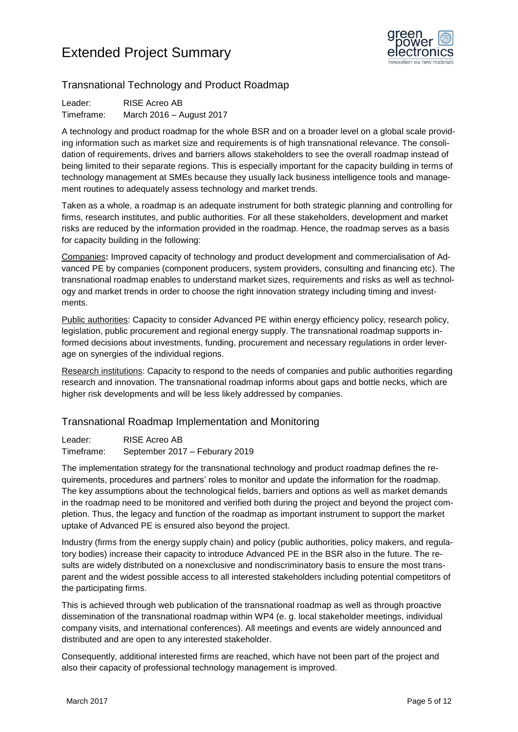

### Transnational Technology and Product Roadmap

Leader: RISE Acreo AB Timeframe: March 2016 – August 2017

A technology and product roadmap for the whole BSR and on a broader level on a global scale providing information such as market size and requirements is of high transnational relevance. The consolidation of requirements, drives and barriers allows stakeholders to see the overall roadmap instead of being limited to their separate regions. This is especially important for the capacity building in terms of technology management at SMEs because they usually lack business intelligence tools and management routines to adequately assess technology and market trends.

Taken as a whole, a roadmap is an adequate instrument for both strategic planning and controlling for firms, research institutes, and public authorities. For all these stakeholders, development and market risks are reduced by the information provided in the roadmap. Hence, the roadmap serves as a basis for capacity building in the following:

Companies**:** Improved capacity of technology and product development and commercialisation of Advanced PE by companies (component producers, system providers, consulting and financing etc). The transnational roadmap enables to understand market sizes, requirements and risks as well as technology and market trends in order to choose the right innovation strategy including timing and investments.

Public authorities: Capacity to consider Advanced PE within energy efficiency policy, research policy, legislation, public procurement and regional energy supply. The transnational roadmap supports informed decisions about investments, funding, procurement and necessary regulations in order leverage on synergies of the individual regions.

Research institutions: Capacity to respond to the needs of companies and public authorities regarding research and innovation. The transnational roadmap informs about gaps and bottle necks, which are higher risk developments and will be less likely addressed by companies.

### <span id="page-4-0"></span>Transnational Roadmap Implementation and Monitoring

Leader: RISE Acreo AB Timeframe: September 2017 – Feburary 2019

The implementation strategy for the transnational technology and product roadmap defines the requirements, procedures and partners' roles to monitor and update the information for the roadmap. The key assumptions about the technological fields, barriers and options as well as market demands in the roadmap need to be monitored and verified both during the project and beyond the project completion. Thus, the legacy and function of the roadmap as important instrument to support the market uptake of Advanced PE is ensured also beyond the project.

Industry (firms from the energy supply chain) and policy (public authorities, policy makers, and regulatory bodies) increase their capacity to introduce Advanced PE in the BSR also in the future. The results are widely distributed on a nonexclusive and nondiscriminatory basis to ensure the most transparent and the widest possible access to all interested stakeholders including potential competitors of the participating firms.

This is achieved through web publication of the transnational roadmap as well as through proactive dissemination of the transnational roadmap within WP4 (e. g. local stakeholder meetings, individual company visits, and international conferences). All meetings and events are widely announced and distributed and are open to any interested stakeholder.

Consequently, additional interested firms are reached, which have not been part of the project and also their capacity of professional technology management is improved.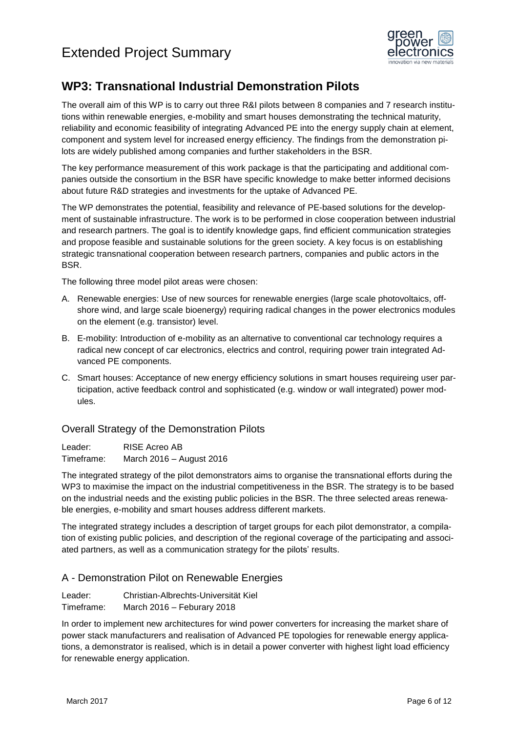

## <span id="page-5-0"></span>**WP3: Transnational Industrial Demonstration Pilots**

The overall aim of this WP is to carry out three R&I pilots between 8 companies and 7 research institutions within renewable energies, e-mobility and smart houses demonstrating the technical maturity, reliability and economic feasibility of integrating Advanced PE into the energy supply chain at element, component and system level for increased energy efficiency. The findings from the demonstration pilots are widely published among companies and further stakeholders in the BSR.

The key performance measurement of this work package is that the participating and additional companies outside the consortium in the BSR have specific knowledge to make better informed decisions about future R&D strategies and investments for the uptake of Advanced PE.

The WP demonstrates the potential, feasibility and relevance of PE-based solutions for the development of sustainable infrastructure. The work is to be performed in close cooperation between industrial and research partners. The goal is to identify knowledge gaps, find efficient communication strategies and propose feasible and sustainable solutions for the green society. A key focus is on establishing strategic transnational cooperation between research partners, companies and public actors in the BSR.

The following three model pilot areas were chosen:

- A. Renewable energies: Use of new sources for renewable energies (large scale photovoltaics, offshore wind, and large scale bioenergy) requiring radical changes in the power electronics modules on the element (e.g. transistor) level.
- B. E-mobility: Introduction of e-mobility as an alternative to conventional car technology requires a radical new concept of car electronics, electrics and control, requiring power train integrated Advanced PE components.
- C. Smart houses: Acceptance of new energy efficiency solutions in smart houses requireing user participation, active feedback control and sophisticated (e.g. window or wall integrated) power modules.

#### <span id="page-5-1"></span>Overall Strategy of the Demonstration Pilots

Leader: RISE Acreo AB Timeframe: March 2016 – August 2016

The integrated strategy of the pilot demonstrators aims to organise the transnational efforts during the WP3 to maximise the impact on the industrial competitiveness in the BSR. The strategy is to be based on the industrial needs and the existing public policies in the BSR. The three selected areas renewable energies, e-mobility and smart houses address different markets.

The integrated strategy includes a description of target groups for each pilot demonstrator, a compilation of existing public policies, and description of the regional coverage of the participating and associated partners, as well as a communication strategy for the pilots' results.

### <span id="page-5-2"></span>A - Demonstration Pilot on Renewable Energies

Leader: Christian-Albrechts-Universität Kiel Timeframe: March 2016 – Feburary 2018

In order to implement new architectures for wind power converters for increasing the market share of power stack manufacturers and realisation of Advanced PE topologies for renewable energy applications, a demonstrator is realised, which is in detail a power converter with highest light load efficiency for renewable energy application.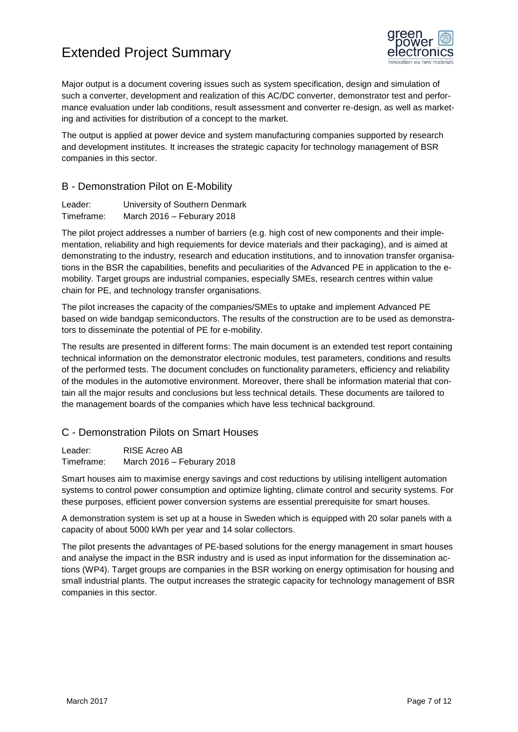

Major output is a document covering issues such as system specification, design and simulation of such a converter, development and realization of this AC/DC converter, demonstrator test and performance evaluation under lab conditions, result assessment and converter re-design, as well as marketing and activities for distribution of a concept to the market.

The output is applied at power device and system manufacturing companies supported by research and development institutes. It increases the strategic capacity for technology management of BSR companies in this sector.

#### <span id="page-6-0"></span>B - Demonstration Pilot on E-Mobility

| Leader:    | University of Southern Denmark |
|------------|--------------------------------|
| Timeframe: | March 2016 - Feburary 2018     |

The pilot project addresses a number of barriers (e.g. high cost of new components and their implementation, reliability and high requiements for device materials and their packaging), and is aimed at demonstrating to the industry, research and education institutions, and to innovation transfer organisations in the BSR the capabilities, benefits and peculiarities of the Advanced PE in application to the emobility. Target groups are industrial companies, especially SMEs, research centres within value chain for PE, and technology transfer organisations.

The pilot increases the capacity of the companies/SMEs to uptake and implement Advanced PE based on wide bandgap semiconductors. The results of the construction are to be used as demonstrators to disseminate the potential of PE for e-mobility.

The results are presented in different forms: The main document is an extended test report containing technical information on the demonstrator electronic modules, test parameters, conditions and results of the performed tests. The document concludes on functionality parameters, efficiency and reliability of the modules in the automotive environment. Moreover, there shall be information material that contain all the major results and conclusions but less technical details. These documents are tailored to the management boards of the companies which have less technical background.

#### <span id="page-6-1"></span>C - Demonstration Pilots on Smart Houses

Leader: RISE Acreo AB Timeframe: March 2016 – Feburary 2018

Smart houses aim to maximise energy savings and cost reductions by utilising intelligent automation systems to control power consumption and optimize lighting, climate control and security systems. For these purposes, efficient power conversion systems are essential prerequisite for smart houses.

A demonstration system is set up at a house in Sweden which is equipped with 20 solar panels with a capacity of about 5000 kWh per year and 14 solar collectors.

The pilot presents the advantages of PE-based solutions for the energy management in smart houses and analyse the impact in the BSR industry and is used as input information for the dissemination actions (WP4). Target groups are companies in the BSR working on energy optimisation for housing and small industrial plants. The output increases the strategic capacity for technology management of BSR companies in this sector.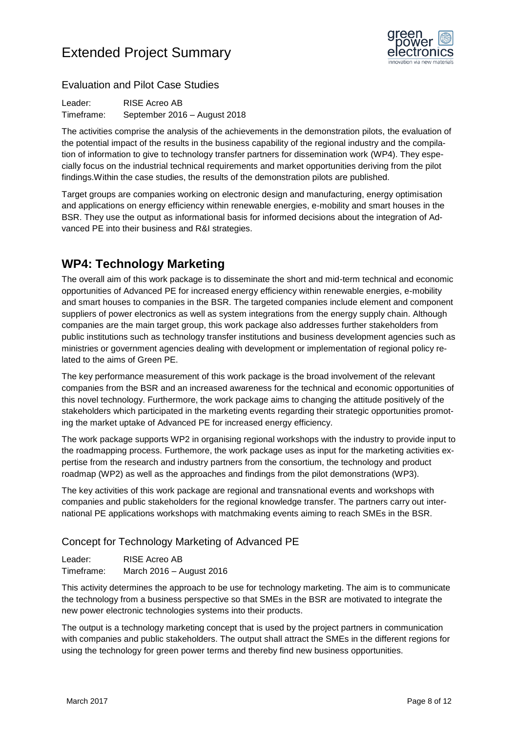

### <span id="page-7-0"></span>Evaluation and Pilot Case Studies

Leader: RISE Acreo AB Timeframe: September 2016 – August 2018

The activities comprise the analysis of the achievements in the demonstration pilots, the evaluation of the potential impact of the results in the business capability of the regional industry and the compilation of information to give to technology transfer partners for dissemination work (WP4). They especially focus on the industrial technical requirements and market opportunities deriving from the pilot findings.Within the case studies, the results of the demonstration pilots are published.

Target groups are companies working on electronic design and manufacturing, energy optimisation and applications on energy efficiency within renewable energies, e-mobility and smart houses in the BSR. They use the output as informational basis for informed decisions about the integration of Advanced PE into their business and R&I strategies.

## <span id="page-7-1"></span>**WP4: Technology Marketing**

The overall aim of this work package is to disseminate the short and mid-term technical and economic opportunities of Advanced PE for increased energy efficiency within renewable energies, e-mobility and smart houses to companies in the BSR. The targeted companies include element and component suppliers of power electronics as well as system integrations from the energy supply chain. Although companies are the main target group, this work package also addresses further stakeholders from public institutions such as technology transfer institutions and business development agencies such as ministries or government agencies dealing with development or implementation of regional policy related to the aims of Green PE.

The key performance measurement of this work package is the broad involvement of the relevant companies from the BSR and an increased awareness for the technical and economic opportunities of this novel technology. Furthermore, the work package aims to changing the attitude positively of the stakeholders which participated in the marketing events regarding their strategic opportunities promoting the market uptake of Advanced PE for increased energy efficiency.

The work package supports WP2 in organising regional workshops with the industry to provide input to the roadmapping process. Furthemore, the work package uses as input for the marketing activities expertise from the research and industry partners from the consortium, the technology and product roadmap (WP2) as well as the approaches and findings from the pilot demonstrations (WP3).

The key activities of this work package are regional and transnational events and workshops with companies and public stakeholders for the regional knowledge transfer. The partners carry out international PE applications workshops with matchmaking events aiming to reach SMEs in the BSR.

### <span id="page-7-2"></span>Concept for Technology Marketing of Advanced PE

Leader: RISE Acreo AB Timeframe: March 2016 – August 2016

This activity determines the approach to be use for technology marketing. The aim is to communicate the technology from a business perspective so that SMEs in the BSR are motivated to integrate the new power electronic technologies systems into their products.

The output is a technology marketing concept that is used by the project partners in communication with companies and public stakeholders. The output shall attract the SMEs in the different regions for using the technology for green power terms and thereby find new business opportunities.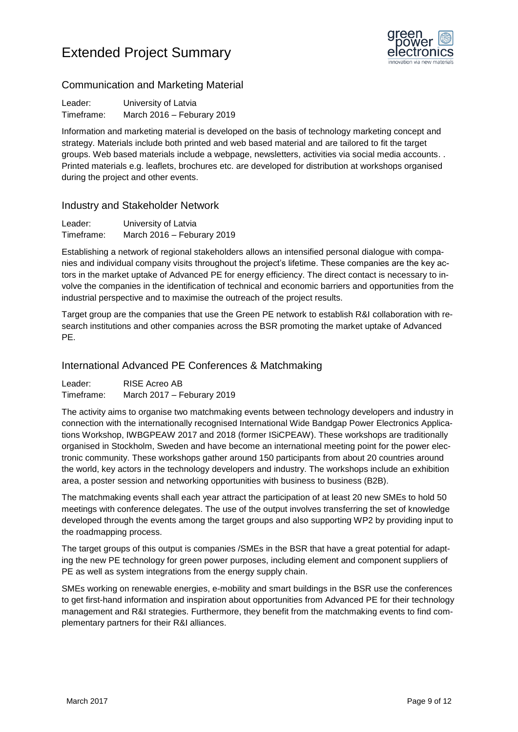

### <span id="page-8-0"></span>Communication and Marketing Material

Leader: University of Latvia Timeframe: March 2016 – Feburary 2019

Information and marketing material is developed on the basis of technology marketing concept and strategy. Materials include both printed and web based material and are tailored to fit the target groups. Web based materials include a webpage, newsletters, activities via social media accounts. . Printed materials e.g. leaflets, brochures etc. are developed for distribution at workshops organised during the project and other events.

#### <span id="page-8-1"></span>Industry and Stakeholder Network

| Leader:    | University of Latvia       |
|------------|----------------------------|
| Timeframe: | March 2016 - Feburary 2019 |

Establishing a network of regional stakeholders allows an intensified personal dialogue with companies and individual company visits throughout the project's lifetime. These companies are the key actors in the market uptake of Advanced PE for energy efficiency. The direct contact is necessary to involve the companies in the identification of technical and economic barriers and opportunities from the industrial perspective and to maximise the outreach of the project results.

Target group are the companies that use the Green PE network to establish R&I collaboration with research institutions and other companies across the BSR promoting the market uptake of Advanced PE.

#### <span id="page-8-2"></span>International Advanced PE Conferences & Matchmaking

Leader: RISE Acreo AB Timeframe: March 2017 – Feburary 2019

The activity aims to organise two matchmaking events between technology developers and industry in connection with the internationally recognised International Wide Bandgap Power Electronics Applications Workshop, IWBGPEAW 2017 and 2018 (former ISiCPEAW). These workshops are traditionally organised in Stockholm, Sweden and have become an international meeting point for the power electronic community. These workshops gather around 150 participants from about 20 countries around the world, key actors in the technology developers and industry. The workshops include an exhibition area, a poster session and networking opportunities with business to business (B2B).

The matchmaking events shall each year attract the participation of at least 20 new SMEs to hold 50 meetings with conference delegates. The use of the output involves transferring the set of knowledge developed through the events among the target groups and also supporting WP2 by providing input to the roadmapping process.

The target groups of this output is companies /SMEs in the BSR that have a great potential for adapting the new PE technology for green power purposes, including element and component suppliers of PE as well as system integrations from the energy supply chain.

SMEs working on renewable energies, e-mobility and smart buildings in the BSR use the conferences to get first-hand information and inspiration about opportunities from Advanced PE for their technology management and R&I strategies. Furthermore, they benefit from the matchmaking events to find complementary partners for their R&I alliances.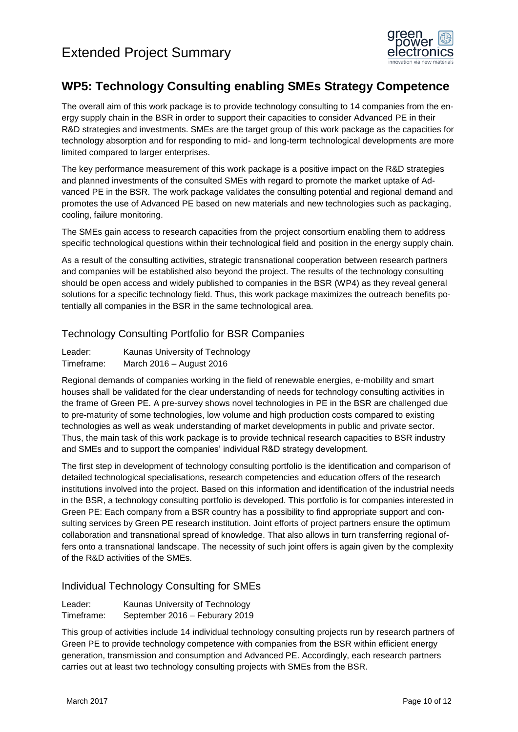

## <span id="page-9-0"></span>**WP5: Technology Consulting enabling SMEs Strategy Competence**

The overall aim of this work package is to provide technology consulting to 14 companies from the energy supply chain in the BSR in order to support their capacities to consider Advanced PE in their R&D strategies and investments. SMEs are the target group of this work package as the capacities for technology absorption and for responding to mid- and long-term technological developments are more limited compared to larger enterprises.

The key performance measurement of this work package is a positive impact on the R&D strategies and planned investments of the consulted SMEs with regard to promote the market uptake of Advanced PE in the BSR. The work package validates the consulting potential and regional demand and promotes the use of Advanced PE based on new materials and new technologies such as packaging, cooling, failure monitoring.

The SMEs gain access to research capacities from the project consortium enabling them to address specific technological questions within their technological field and position in the energy supply chain.

As a result of the consulting activities, strategic transnational cooperation between research partners and companies will be established also beyond the project. The results of the technology consulting should be open access and widely published to companies in the BSR (WP4) as they reveal general solutions for a specific technology field. Thus, this work package maximizes the outreach benefits potentially all companies in the BSR in the same technological area.

#### <span id="page-9-1"></span>Technology Consulting Portfolio for BSR Companies

| Leader:    | Kaunas University of Technology |
|------------|---------------------------------|
| Timeframe: | March 2016 - August 2016        |

Regional demands of companies working in the field of renewable energies, e-mobility and smart houses shall be validated for the clear understanding of needs for technology consulting activities in the frame of Green PE. A pre-survey shows novel technologies in PE in the BSR are challenged due to pre-maturity of some technologies, low volume and high production costs compared to existing technologies as well as weak understanding of market developments in public and private sector. Thus, the main task of this work package is to provide technical research capacities to BSR industry and SMEs and to support the companies' individual R&D strategy development.

The first step in development of technology consulting portfolio is the identification and comparison of detailed technological specialisations, research competencies and education offers of the research institutions involved into the project. Based on this information and identification of the industrial needs in the BSR, a technology consulting portfolio is developed. This portfolio is for companies interested in Green PE: Each company from a BSR country has a possibility to find appropriate support and consulting services by Green PE research institution. Joint efforts of project partners ensure the optimum collaboration and transnational spread of knowledge. That also allows in turn transferring regional offers onto a transnational landscape. The necessity of such joint offers is again given by the complexity of the R&D activities of the SMEs.

#### <span id="page-9-2"></span>Individual Technology Consulting for SMEs

| Leader:    | Kaunas University of Technology |
|------------|---------------------------------|
| Timeframe: | September 2016 - Feburary 2019  |

This group of activities include 14 individual technology consulting projects run by research partners of Green PE to provide technology competence with companies from the BSR within efficient energy generation, transmission and consumption and Advanced PE. Accordingly, each research partners carries out at least two technology consulting projects with SMEs from the BSR.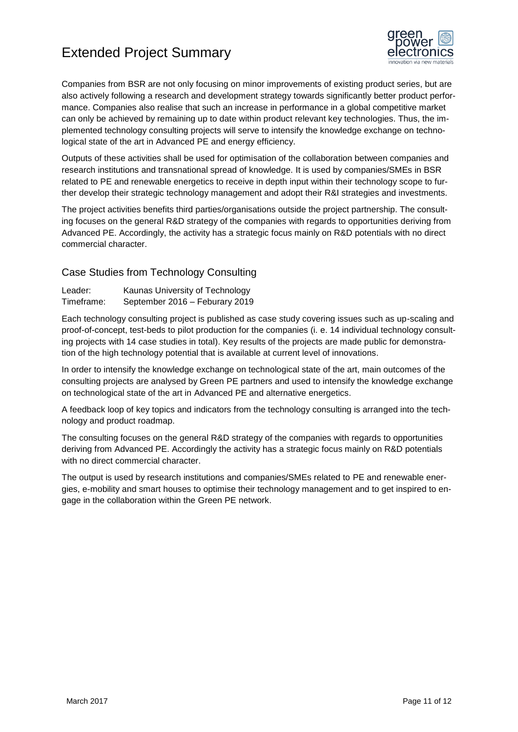

Companies from BSR are not only focusing on minor improvements of existing product series, but are also actively following a research and development strategy towards significantly better product performance. Companies also realise that such an increase in performance in a global competitive market can only be achieved by remaining up to date within product relevant key technologies. Thus, the implemented technology consulting projects will serve to intensify the knowledge exchange on technological state of the art in Advanced PE and energy efficiency.

Outputs of these activities shall be used for optimisation of the collaboration between companies and research institutions and transnational spread of knowledge. It is used by companies/SMEs in BSR related to PE and renewable energetics to receive in depth input within their technology scope to further develop their strategic technology management and adopt their R&I strategies and investments.

The project activities benefits third parties/organisations outside the project partnership. The consulting focuses on the general R&D strategy of the companies with regards to opportunities deriving from Advanced PE. Accordingly, the activity has a strategic focus mainly on R&D potentials with no direct commercial character.

#### <span id="page-10-0"></span>Case Studies from Technology Consulting

Leader: Kaunas University of Technology Timeframe: September 2016 – Feburary 2019

Each technology consulting project is published as case study covering issues such as up-scaling and proof-of-concept, test-beds to pilot production for the companies (i. e. 14 individual technology consulting projects with 14 case studies in total). Key results of the projects are made public for demonstration of the high technology potential that is available at current level of innovations.

In order to intensify the knowledge exchange on technological state of the art, main outcomes of the consulting projects are analysed by Green PE partners and used to intensify the knowledge exchange on technological state of the art in Advanced PE and alternative energetics.

A feedback loop of key topics and indicators from the technology consulting is arranged into the technology and product roadmap.

The consulting focuses on the general R&D strategy of the companies with regards to opportunities deriving from Advanced PE. Accordingly the activity has a strategic focus mainly on R&D potentials with no direct commercial character.

The output is used by research institutions and companies/SMEs related to PE and renewable energies, e-mobility and smart houses to optimise their technology management and to get inspired to engage in the collaboration within the Green PE network.